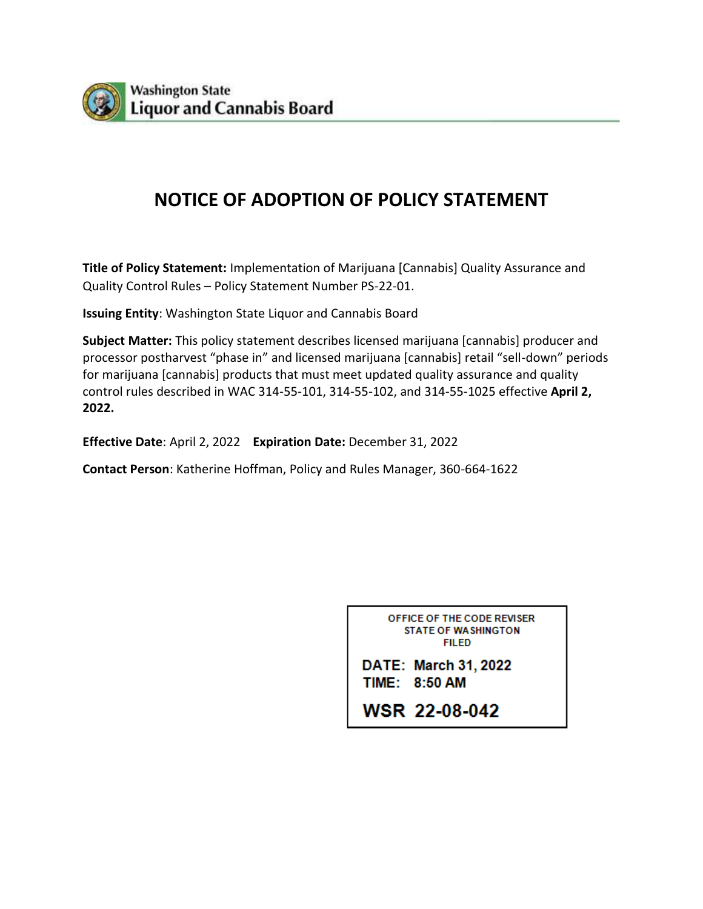

# **NOTICE OF ADOPTION OF POLICY STATEMENT**

**Title of Policy Statement:** Implementation of Marijuana [Cannabis] Quality Assurance and Quality Control Rules – Policy Statement Number PS-22-01.

**Issuing Entity**: Washington State Liquor and Cannabis Board

**Subject Matter:** This policy statement describes licensed marijuana [cannabis] producer and processor postharvest "phase in" and licensed marijuana [cannabis] retail "sell-down" periods for marijuana [cannabis] products that must meet updated quality assurance and quality control rules described in WAC 314-55-101, 314-55-102, and 314-55-1025 effective **April 2, 2022.**

**Effective Date**: April 2, 2022 **Expiration Date:** December 31, 2022

**Contact Person**: Katherine Hoffman, Policy and Rules Manager, 360-664-1622

OFFICE OF THE CODE REVISER **STATE OF WASHINGTON FILED** 

DATE: March 31, 2022 **TIME: 8:50 AM** 

**WSR 22-08-042**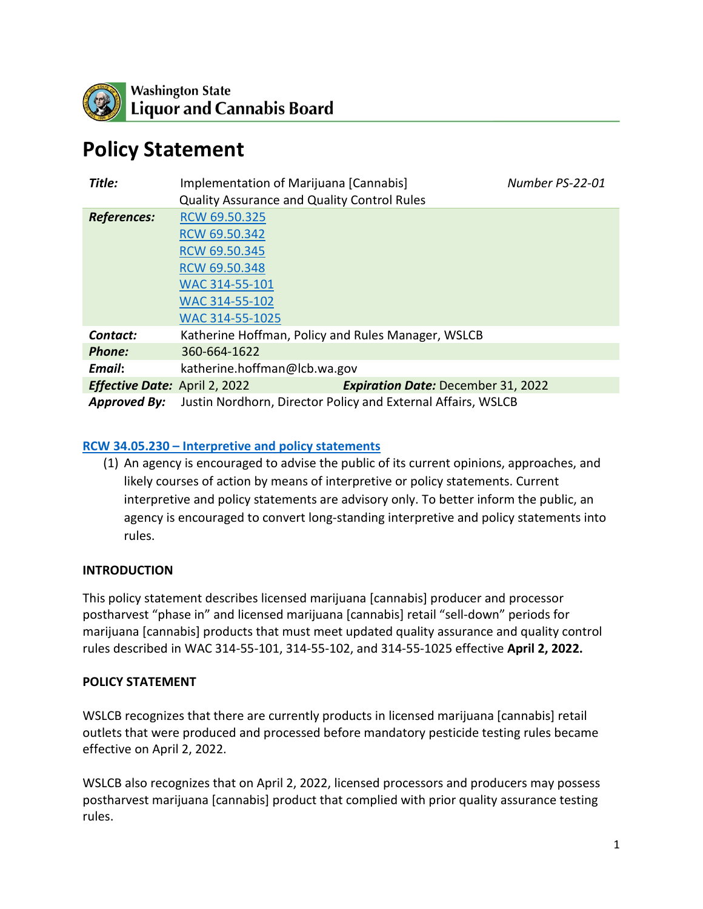

# **Policy Statement**

| Title:                               | Implementation of Marijuana [Cannabis]<br><b>Quality Assurance and Quality Control Rules</b> |                                           | Number PS-22-01 |
|--------------------------------------|----------------------------------------------------------------------------------------------|-------------------------------------------|-----------------|
| <b>References:</b>                   | RCW 69.50.325                                                                                |                                           |                 |
|                                      | RCW 69.50.342                                                                                |                                           |                 |
|                                      | RCW 69.50.345                                                                                |                                           |                 |
|                                      | RCW 69.50.348                                                                                |                                           |                 |
|                                      | WAC 314-55-101                                                                               |                                           |                 |
|                                      | WAC 314-55-102                                                                               |                                           |                 |
|                                      | WAC 314-55-1025                                                                              |                                           |                 |
| Contact:                             | Katherine Hoffman, Policy and Rules Manager, WSLCB                                           |                                           |                 |
| <b>Phone:</b>                        | 360-664-1622                                                                                 |                                           |                 |
| Email:                               | katherine.hoffman@lcb.wa.gov                                                                 |                                           |                 |
| <b>Effective Date:</b> April 2, 2022 |                                                                                              | <b>Expiration Date: December 31, 2022</b> |                 |
| <b>Approved By:</b>                  | Justin Nordhorn, Director Policy and External Affairs, WSLCB                                 |                                           |                 |

#### **[RCW 34.05.230 – Interpretive and policy statements](https://app.leg.wa.gov/rcw/default.aspx?cite=34.05.230)**

(1) An agency is encouraged to advise the public of its current opinions, approaches, and likely courses of action by means of interpretive or policy statements. Current interpretive and policy statements are advisory only. To better inform the public, an agency is encouraged to convert long-standing interpretive and policy statements into rules.

#### **INTRODUCTION**

This policy statement describes licensed marijuana [cannabis] producer and processor postharvest "phase in" and licensed marijuana [cannabis] retail "sell-down" periods for marijuana [cannabis] products that must meet updated quality assurance and quality control rules described in WAC 314-55-101, 314-55-102, and 314-55-1025 effective **April 2, 2022.**

#### **POLICY STATEMENT**

WSLCB recognizes that there are currently products in licensed marijuana [cannabis] retail outlets that were produced and processed before mandatory pesticide testing rules became effective on April 2, 2022.

WSLCB also recognizes that on April 2, 2022, licensed processors and producers may possess postharvest marijuana [cannabis] product that complied with prior quality assurance testing rules.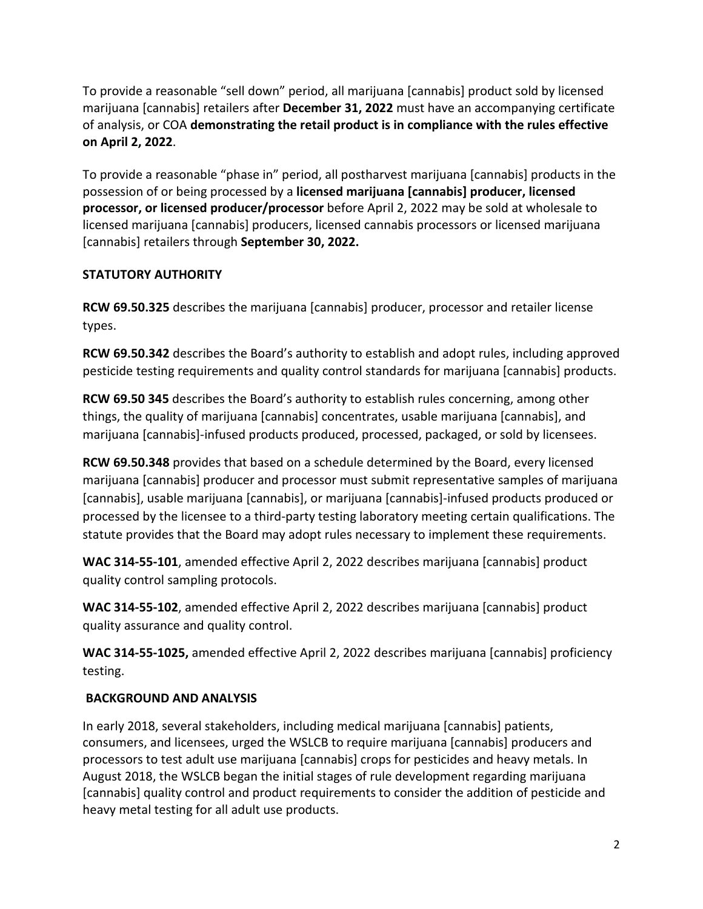To provide a reasonable "sell down" period, all marijuana [cannabis] product sold by licensed marijuana [cannabis] retailers after **December 31, 2022** must have an accompanying certificate of analysis, or COA **demonstrating the retail product is in compliance with the rules effective on April 2, 2022**.

To provide a reasonable "phase in" period, all postharvest marijuana [cannabis] products in the possession of or being processed by a **licensed marijuana [cannabis] producer, licensed processor, or licensed producer/processor** before April 2, 2022 may be sold at wholesale to licensed marijuana [cannabis] producers, licensed cannabis processors or licensed marijuana [cannabis] retailers through **September 30, 2022.** 

## **STATUTORY AUTHORITY**

**RCW 69.50.325** describes the marijuana [cannabis] producer, processor and retailer license types.

**RCW 69.50.342** describes the Board's authority to establish and adopt rules, including approved pesticide testing requirements and quality control standards for marijuana [cannabis] products.

**RCW 69.50 345** describes the Board's authority to establish rules concerning, among other things, the quality of marijuana [cannabis] concentrates, usable marijuana [cannabis], and marijuana [cannabis]-infused products produced, processed, packaged, or sold by licensees.

**RCW 69.50.348** provides that based on a schedule determined by the Board, every licensed marijuana [cannabis] producer and processor must submit representative samples of marijuana [cannabis], usable marijuana [cannabis], or marijuana [cannabis]-infused products produced or processed by the licensee to a third-party testing laboratory meeting certain qualifications. The statute provides that the Board may adopt rules necessary to implement these requirements.

**WAC 314-55-101**, amended effective April 2, 2022 describes marijuana [cannabis] product quality control sampling protocols.

**WAC 314-55-102**, amended effective April 2, 2022 describes marijuana [cannabis] product quality assurance and quality control.

**WAC 314-55-1025,** amended effective April 2, 2022 describes marijuana [cannabis] proficiency testing.

## **BACKGROUND AND ANALYSIS**

In early 2018, several stakeholders, including medical marijuana [cannabis] patients, consumers, and licensees, urged the WSLCB to require marijuana [cannabis] producers and processors to test adult use marijuana [cannabis] crops for pesticides and heavy metals. In August 2018, the WSLCB began the initial stages of rule development regarding marijuana [cannabis] quality control and product requirements to consider the addition of pesticide and heavy metal testing for all adult use products.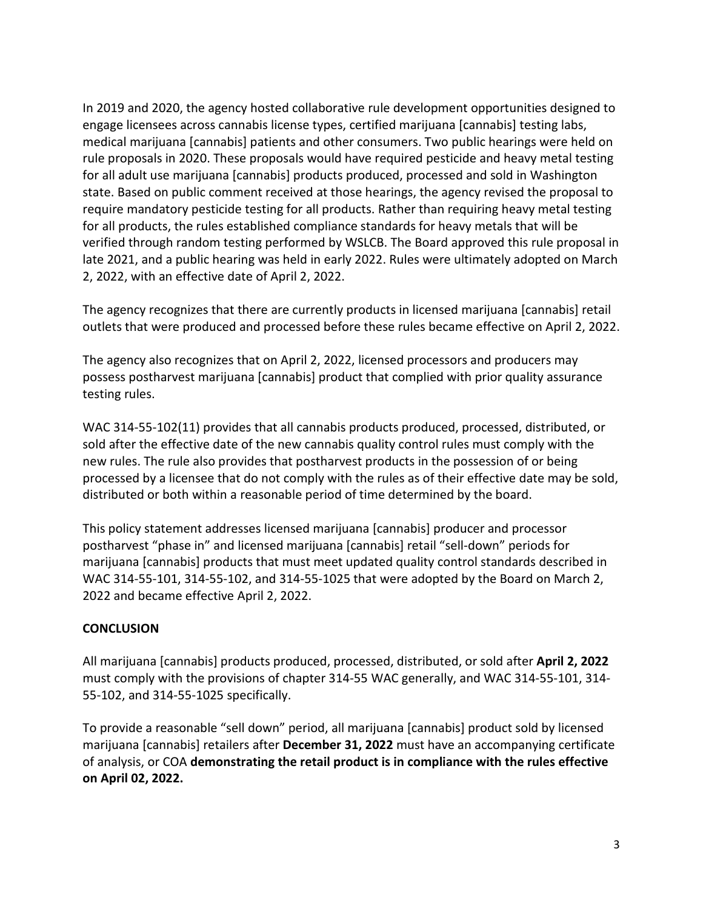In 2019 and 2020, the agency hosted collaborative rule development opportunities designed to engage licensees across cannabis license types, certified marijuana [cannabis] testing labs, medical marijuana [cannabis] patients and other consumers. Two public hearings were held on rule proposals in 2020. These proposals would have required pesticide and heavy metal testing for all adult use marijuana [cannabis] products produced, processed and sold in Washington state. Based on public comment received at those hearings, the agency revised the proposal to require mandatory pesticide testing for all products. Rather than requiring heavy metal testing for all products, the rules established compliance standards for heavy metals that will be verified through random testing performed by WSLCB. The Board approved this rule proposal in late 2021, and a public hearing was held in early 2022. Rules were ultimately adopted on March 2, 2022, with an effective date of April 2, 2022.

The agency recognizes that there are currently products in licensed marijuana [cannabis] retail outlets that were produced and processed before these rules became effective on April 2, 2022.

The agency also recognizes that on April 2, 2022, licensed processors and producers may possess postharvest marijuana [cannabis] product that complied with prior quality assurance testing rules.

WAC 314-55-102(11) provides that all cannabis products produced, processed, distributed, or sold after the effective date of the new cannabis quality control rules must comply with the new rules. The rule also provides that postharvest products in the possession of or being processed by a licensee that do not comply with the rules as of their effective date may be sold, distributed or both within a reasonable period of time determined by the board.

This policy statement addresses licensed marijuana [cannabis] producer and processor postharvest "phase in" and licensed marijuana [cannabis] retail "sell-down" periods for marijuana [cannabis] products that must meet updated quality control standards described in WAC 314-55-101, 314-55-102, and 314-55-1025 that were adopted by the Board on March 2, 2022 and became effective April 2, 2022.

#### **CONCLUSION**

All marijuana [cannabis] products produced, processed, distributed, or sold after **April 2, 2022** must comply with the provisions of chapter 314-55 WAC generally, and WAC 314-55-101, 314- 55-102, and 314-55-1025 specifically.

To provide a reasonable "sell down" period, all marijuana [cannabis] product sold by licensed marijuana [cannabis] retailers after **December 31, 2022** must have an accompanying certificate of analysis, or COA **demonstrating the retail product is in compliance with the rules effective on April 02, 2022.**